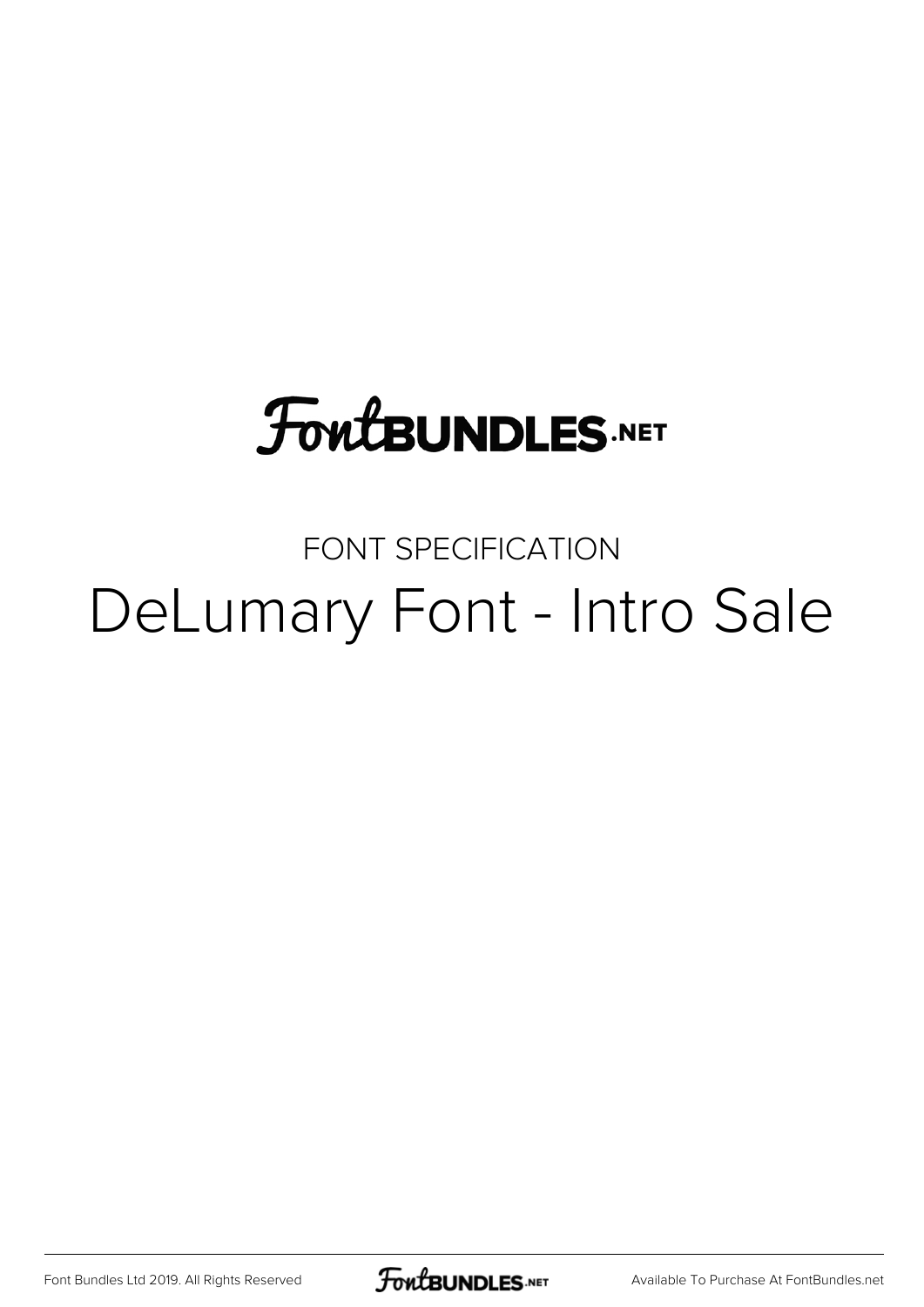# **FoutBUNDLES.NET**

### FONT SPECIFICATION DeLumary Font - Intro Sale

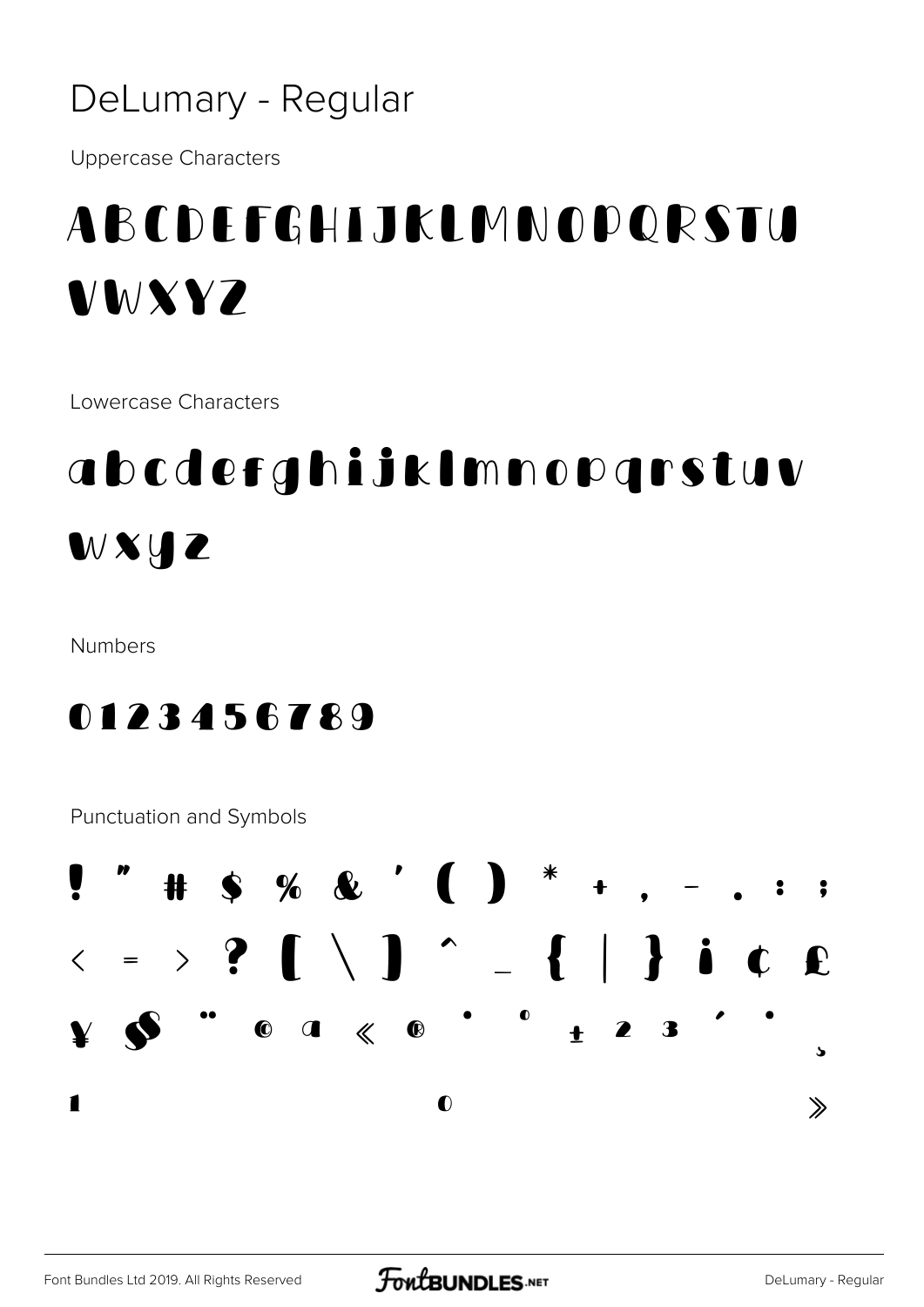#### DeLumary - Regular

**Uppercase Characters** 

### ABCDEFGHIJKLMNOPQRSTU VWXY7

Lowercase Characters

## abcdefghijklmnopgrstuv **WXHZ**

Numbers

0123456789

Punctuation and Symbols

 $S \times \& '$   $\bullet$   $*$   $*$ #  $\langle \cdot \rangle$  ?  $\wedge$   $\wedge$   $\wedge$   $\wedge$   $\wedge$   $\wedge$   $\wedge$   $\wedge$   $\wedge$   $\wedge$   $\wedge$   $\wedge$   $\wedge$   $\wedge$   $\wedge$   $\wedge$   $\wedge$   $\wedge$   $\wedge$   $\wedge$   $\wedge$   $\wedge$   $\wedge$   $\wedge$   $\wedge$   $\wedge$   $\wedge$   $\wedge$   $\wedge$   $\wedge$   $\wedge$   $\wedge$   $\wedge$   $\wedge$   $\wedge$   $\bullet$  $23$  $\bullet$   $\bullet$   $\ll$   $\bullet$  $\ddot{\bullet}$  $\mathbf{v}$ 1  $\bullet$  $\gg$ 

Font Bundles Ltd 2019. All Rights Reserved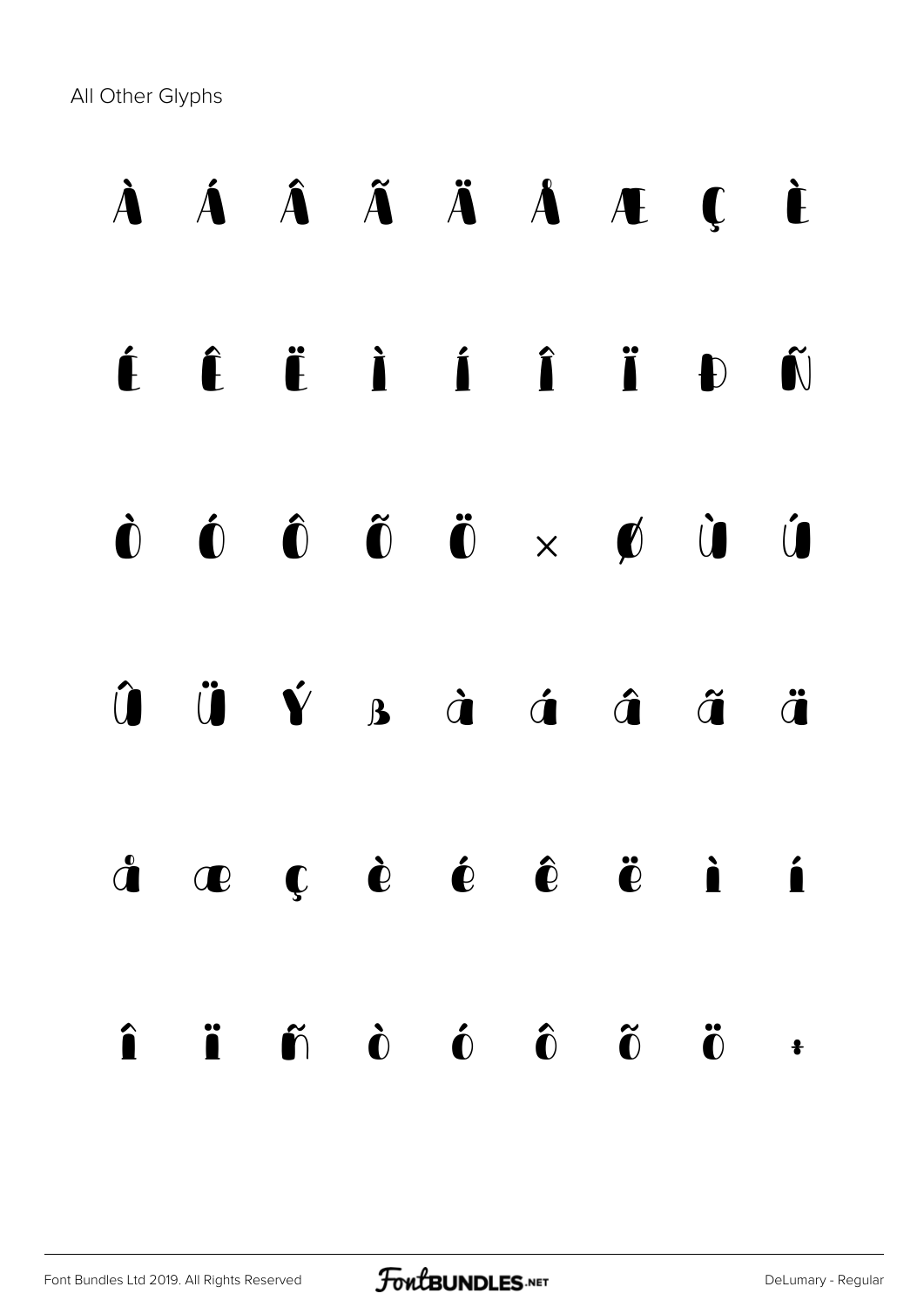All Other Glyphs